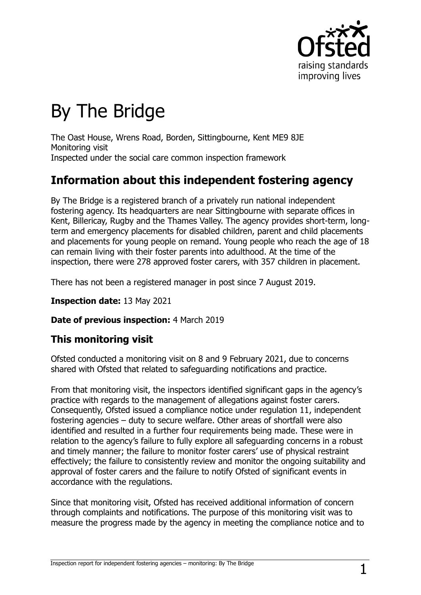

# By The Bridge

The Oast House, Wrens Road, Borden, Sittingbourne, Kent ME9 8JE Monitoring visit Inspected under the social care common inspection framework

# **Information about this independent fostering agency**

By The Bridge is a registered branch of a privately run national independent fostering agency. Its headquarters are near Sittingbourne with separate offices in Kent, Billericay, Rugby and the Thames Valley. The agency provides short-term, longterm and emergency placements for disabled children, parent and child placements and placements for young people on remand. Young people who reach the age of 18 can remain living with their foster parents into adulthood. At the time of the inspection, there were 278 approved foster carers, with 357 children in placement.

There has not been a registered manager in post since 7 August 2019.

#### **Inspection date:** 13 May 2021

#### **Date of previous inspection:** 4 March 2019

### **This monitoring visit**

Ofsted conducted a monitoring visit on 8 and 9 February 2021, due to concerns shared with Ofsted that related to safeguarding notifications and practice.

From that monitoring visit, the inspectors identified significant gaps in the agency's practice with regards to the management of allegations against foster carers. Consequently, Ofsted issued a compliance notice under regulation 11, independent fostering agencies – duty to secure welfare. Other areas of shortfall were also identified and resulted in a further four requirements being made. These were in relation to the agency's failure to fully explore all safeguarding concerns in a robust and timely manner; the failure to monitor foster carers' use of physical restraint effectively; the failure to consistently review and monitor the ongoing suitability and approval of foster carers and the failure to notify Ofsted of significant events in accordance with the regulations.

Since that monitoring visit, Ofsted has received additional information of concern through complaints and notifications. The purpose of this monitoring visit was to measure the progress made by the agency in meeting the compliance notice and to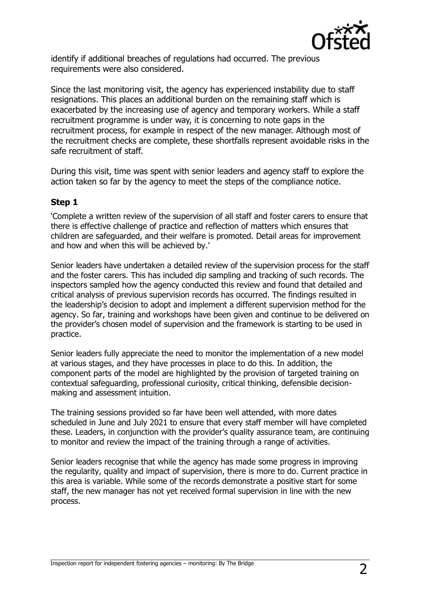

identify if additional breaches of regulations had occurred. The previous requirements were also considered.

Since the last monitoring visit, the agency has experienced instability due to staff resignations. This places an additional burden on the remaining staff which is exacerbated by the increasing use of agency and temporary workers. While a staff recruitment programme is under way, it is concerning to note gaps in the recruitment process, for example in respect of the new manager. Although most of the recruitment checks are complete, these shortfalls represent avoidable risks in the safe recruitment of staff.

During this visit, time was spent with senior leaders and agency staff to explore the action taken so far by the agency to meet the steps of the compliance notice.

#### **Step 1**

'Complete a written review of the supervision of all staff and foster carers to ensure that there is effective challenge of practice and reflection of matters which ensures that children are safeguarded, and their welfare is promoted. Detail areas for improvement and how and when this will be achieved by.'

Senior leaders have undertaken a detailed review of the supervision process for the staff and the foster carers. This has included dip sampling and tracking of such records. The inspectors sampled how the agency conducted this review and found that detailed and critical analysis of previous supervision records has occurred. The findings resulted in the leadership's decision to adopt and implement a different supervision method for the agency. So far, training and workshops have been given and continue to be delivered on the provider's chosen model of supervision and the framework is starting to be used in practice.

Senior leaders fully appreciate the need to monitor the implementation of a new model at various stages, and they have processes in place to do this. In addition, the component parts of the model are highlighted by the provision of targeted training on contextual safeguarding, professional curiosity, critical thinking, defensible decisionmaking and assessment intuition.

The training sessions provided so far have been well attended, with more dates scheduled in June and July 2021 to ensure that every staff member will have completed these. Leaders, in conjunction with the provider's quality assurance team, are continuing to monitor and review the impact of the training through a range of activities.

Senior leaders recognise that while the agency has made some progress in improving the regularity, quality and impact of supervision, there is more to do. Current practice in this area is variable. While some of the records demonstrate a positive start for some staff, the new manager has not yet received formal supervision in line with the new process.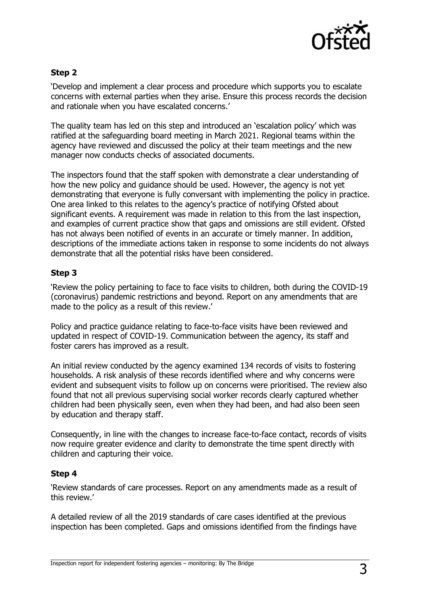

#### **Step 2**

'Develop and implement a clear process and procedure which supports you to escalate concerns with external parties when they arise. Ensure this process records the decision and rationale when you have escalated concerns.'

The quality team has led on this step and introduced an 'escalation policy' which was ratified at the safeguarding board meeting in March 2021. Regional teams within the agency have reviewed and discussed the policy at their team meetings and the new manager now conducts checks of associated documents.

The inspectors found that the staff spoken with demonstrate a clear understanding of how the new policy and guidance should be used. However, the agency is not yet demonstrating that everyone is fully conversant with implementing the policy in practice. One area linked to this relates to the agency's practice of notifying Ofsted about significant events. A requirement was made in relation to this from the last inspection, and examples of current practice show that gaps and omissions are still evident. Ofsted has not always been notified of events in an accurate or timely manner. In addition, descriptions of the immediate actions taken in response to some incidents do not always demonstrate that all the potential risks have been considered.

#### **Step 3**

'Review the policy pertaining to face to face visits to children, both during the COVID-19 (coronavirus) pandemic restrictions and beyond. Report on any amendments that are made to the policy as a result of this review.'

Policy and practice guidance relating to face-to-face visits have been reviewed and updated in respect of COVID-19. Communication between the agency, its staff and foster carers has improved as a result.

An initial review conducted by the agency examined 134 records of visits to fostering households. A risk analysis of these records identified where and why concerns were evident and subsequent visits to follow up on concerns were prioritised. The review also found that not all previous supervising social worker records clearly captured whether children had been physically seen, even when they had been, and had also been seen by education and therapy staff.

Consequently, in line with the changes to increase face-to-face contact, records of visits now require greater evidence and clarity to demonstrate the time spent directly with children and capturing their voice.

#### **Step 4**

'Review standards of care processes. Report on any amendments made as a result of this review.'

A detailed review of all the 2019 standards of care cases identified at the previous inspection has been completed. Gaps and omissions identified from the findings have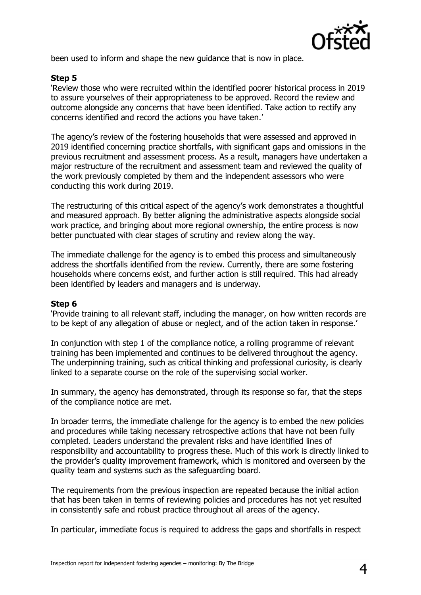

been used to inform and shape the new guidance that is now in place.

#### **Step 5**

'Review those who were recruited within the identified poorer historical process in 2019 to assure yourselves of their appropriateness to be approved. Record the review and outcome alongside any concerns that have been identified. Take action to rectify any concerns identified and record the actions you have taken.'

The agency's review of the fostering households that were assessed and approved in 2019 identified concerning practice shortfalls, with significant gaps and omissions in the previous recruitment and assessment process. As a result, managers have undertaken a major restructure of the recruitment and assessment team and reviewed the quality of the work previously completed by them and the independent assessors who were conducting this work during 2019.

The restructuring of this critical aspect of the agency's work demonstrates a thoughtful and measured approach. By better aligning the administrative aspects alongside social work practice, and bringing about more regional ownership, the entire process is now better punctuated with clear stages of scrutiny and review along the way.

The immediate challenge for the agency is to embed this process and simultaneously address the shortfalls identified from the review. Currently, there are some fostering households where concerns exist, and further action is still required. This had already been identified by leaders and managers and is underway.

#### **Step 6**

'Provide training to all relevant staff, including the manager, on how written records are to be kept of any allegation of abuse or neglect, and of the action taken in response.'

In conjunction with step 1 of the compliance notice, a rolling programme of relevant training has been implemented and continues to be delivered throughout the agency. The underpinning training, such as critical thinking and professional curiosity, is clearly linked to a separate course on the role of the supervising social worker.

In summary, the agency has demonstrated, through its response so far, that the steps of the compliance notice are met.

In broader terms, the immediate challenge for the agency is to embed the new policies and procedures while taking necessary retrospective actions that have not been fully completed. Leaders understand the prevalent risks and have identified lines of responsibility and accountability to progress these. Much of this work is directly linked to the provider's quality improvement framework, which is monitored and overseen by the quality team and systems such as the safeguarding board.

The requirements from the previous inspection are repeated because the initial action that has been taken in terms of reviewing policies and procedures has not yet resulted in consistently safe and robust practice throughout all areas of the agency.

In particular, immediate focus is required to address the gaps and shortfalls in respect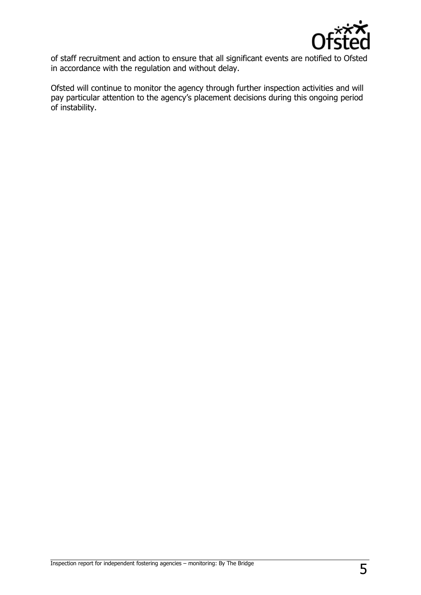

of staff recruitment and action to ensure that all significant events are notified to Ofsted in accordance with the regulation and without delay.

Ofsted will continue to monitor the agency through further inspection activities and will pay particular attention to the agency's placement decisions during this ongoing period of instability.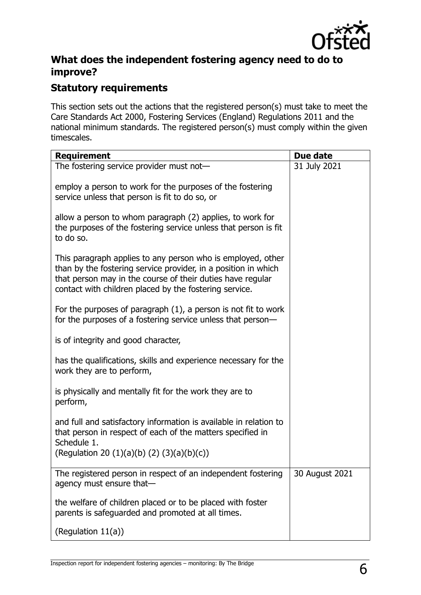

## **What does the independent fostering agency need to do to improve?**

## **Statutory requirements**

This section sets out the actions that the registered person(s) must take to meet the Care Standards Act 2000, Fostering Services (England) Regulations 2011 and the national minimum standards. The registered person(s) must comply within the given timescales.

| <b>Requirement</b>                                                                                                                                                                                                                                    | Due date       |
|-------------------------------------------------------------------------------------------------------------------------------------------------------------------------------------------------------------------------------------------------------|----------------|
| The fostering service provider must not-                                                                                                                                                                                                              | 31 July 2021   |
| employ a person to work for the purposes of the fostering<br>service unless that person is fit to do so, or                                                                                                                                           |                |
| allow a person to whom paragraph (2) applies, to work for<br>the purposes of the fostering service unless that person is fit<br>to do so.                                                                                                             |                |
| This paragraph applies to any person who is employed, other<br>than by the fostering service provider, in a position in which<br>that person may in the course of their duties have regular<br>contact with children placed by the fostering service. |                |
| For the purposes of paragraph $(1)$ , a person is not fit to work<br>for the purposes of a fostering service unless that person-                                                                                                                      |                |
| is of integrity and good character,                                                                                                                                                                                                                   |                |
| has the qualifications, skills and experience necessary for the<br>work they are to perform,                                                                                                                                                          |                |
| is physically and mentally fit for the work they are to<br>perform,                                                                                                                                                                                   |                |
| and full and satisfactory information is available in relation to<br>that person in respect of each of the matters specified in<br>Schedule 1.<br>(Regulation 20 $(1)(a)(b) (2) (3)(a)(b)(c)$ )                                                       |                |
| The registered person in respect of an independent fostering<br>agency must ensure that-                                                                                                                                                              | 30 August 2021 |
| the welfare of children placed or to be placed with foster<br>parents is safeguarded and promoted at all times.                                                                                                                                       |                |
| (Regulation 11(a))                                                                                                                                                                                                                                    |                |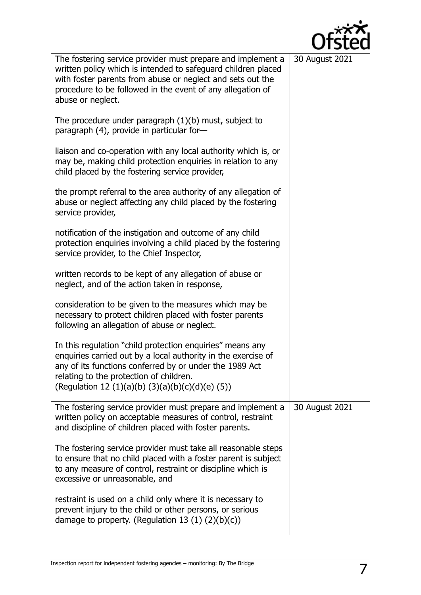

| The fostering service provider must prepare and implement a<br>written policy which is intended to safeguard children placed<br>with foster parents from abuse or neglect and sets out the<br>procedure to be followed in the event of any allegation of<br>abuse or neglect.        | 30 August 2021 |
|--------------------------------------------------------------------------------------------------------------------------------------------------------------------------------------------------------------------------------------------------------------------------------------|----------------|
| The procedure under paragraph $(1)(b)$ must, subject to<br>paragraph (4), provide in particular for-                                                                                                                                                                                 |                |
| liaison and co-operation with any local authority which is, or<br>may be, making child protection enquiries in relation to any<br>child placed by the fostering service provider,                                                                                                    |                |
| the prompt referral to the area authority of any allegation of<br>abuse or neglect affecting any child placed by the fostering<br>service provider,                                                                                                                                  |                |
| notification of the instigation and outcome of any child<br>protection enquiries involving a child placed by the fostering<br>service provider, to the Chief Inspector,                                                                                                              |                |
| written records to be kept of any allegation of abuse or<br>neglect, and of the action taken in response,                                                                                                                                                                            |                |
| consideration to be given to the measures which may be<br>necessary to protect children placed with foster parents<br>following an allegation of abuse or neglect.                                                                                                                   |                |
| In this regulation "child protection enquiries" means any<br>enquiries carried out by a local authority in the exercise of<br>any of its functions conferred by or under the 1989 Act<br>relating to the protection of children.<br>(Regulation 12 (1)(a)(b) (3)(a)(b)(c)(d)(e) (5)) |                |
| The fostering service provider must prepare and implement a<br>written policy on acceptable measures of control, restraint<br>and discipline of children placed with foster parents.                                                                                                 | 30 August 2021 |
| The fostering service provider must take all reasonable steps<br>to ensure that no child placed with a foster parent is subject<br>to any measure of control, restraint or discipline which is<br>excessive or unreasonable, and                                                     |                |
| restraint is used on a child only where it is necessary to<br>prevent injury to the child or other persons, or serious<br>damage to property. (Regulation 13 $(1)$ $(2)(b)(c)$ )                                                                                                     |                |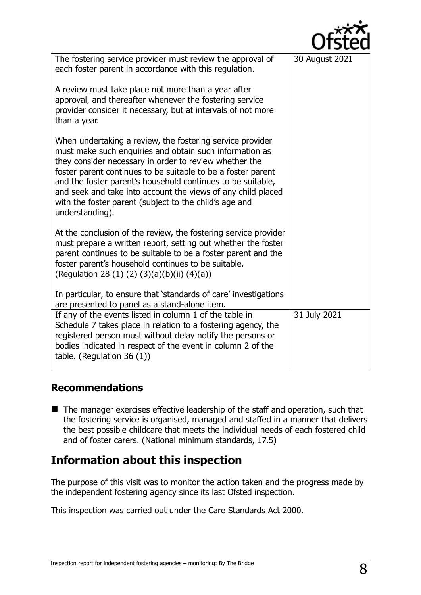|                                                                                                                                                                                                                                                                                                                                                                                                                                                            | UTSTEQ         |
|------------------------------------------------------------------------------------------------------------------------------------------------------------------------------------------------------------------------------------------------------------------------------------------------------------------------------------------------------------------------------------------------------------------------------------------------------------|----------------|
| The fostering service provider must review the approval of<br>each foster parent in accordance with this regulation.                                                                                                                                                                                                                                                                                                                                       | 30 August 2021 |
| A review must take place not more than a year after<br>approval, and thereafter whenever the fostering service<br>provider consider it necessary, but at intervals of not more<br>than a year.                                                                                                                                                                                                                                                             |                |
| When undertaking a review, the fostering service provider<br>must make such enquiries and obtain such information as<br>they consider necessary in order to review whether the<br>foster parent continues to be suitable to be a foster parent<br>and the foster parent's household continues to be suitable,<br>and seek and take into account the views of any child placed<br>with the foster parent (subject to the child's age and<br>understanding). |                |
| At the conclusion of the review, the fostering service provider<br>must prepare a written report, setting out whether the foster<br>parent continues to be suitable to be a foster parent and the<br>foster parent's household continues to be suitable.<br>(Regulation 28 (1) (2) (3)(a)(b)(ii) (4)(a))<br>In particular, to ensure that 'standards of care' investigations                                                                               |                |
| are presented to panel as a stand-alone item.                                                                                                                                                                                                                                                                                                                                                                                                              |                |
| If any of the events listed in column 1 of the table in<br>Schedule 7 takes place in relation to a fostering agency, the<br>registered person must without delay notify the persons or<br>bodies indicated in respect of the event in column 2 of the<br>table. (Regulation 36 $(1)$ )                                                                                                                                                                     | 31 July 2021   |

## **Recommendations**

■ The manager exercises effective leadership of the staff and operation, such that the fostering service is organised, managed and staffed in a manner that delivers the best possible childcare that meets the individual needs of each fostered child and of foster carers. (National minimum standards, 17.5)

# **Information about this inspection**

The purpose of this visit was to monitor the action taken and the progress made by the independent fostering agency since its last Ofsted inspection.

This inspection was carried out under the Care Standards Act 2000.

ົ້າ\*\*\*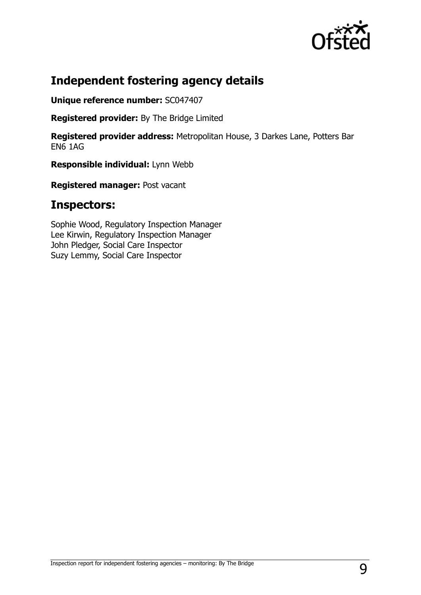

## **Independent fostering agency details**

**Unique reference number:** SC047407

**Registered provider:** By The Bridge Limited

**Registered provider address:** Metropolitan House, 3 Darkes Lane, Potters Bar EN6 1AG

**Responsible individual:** Lynn Webb

**Registered manager:** Post vacant

## **Inspectors:**

Sophie Wood, Regulatory Inspection Manager Lee Kirwin, Regulatory Inspection Manager John Pledger, Social Care Inspector Suzy Lemmy, Social Care Inspector